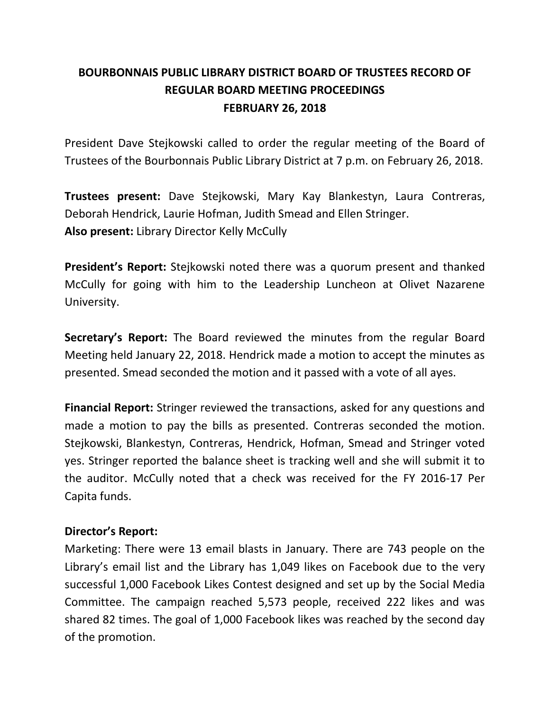## **BOURBONNAIS PUBLIC LIBRARY DISTRICT BOARD OF TRUSTEES RECORD OF REGULAR BOARD MEETING PROCEEDINGS FEBRUARY 26, 2018**

President Dave Stejkowski called to order the regular meeting of the Board of Trustees of the Bourbonnais Public Library District at 7 p.m. on February 26, 2018.

**Trustees present:** Dave Stejkowski, Mary Kay Blankestyn, Laura Contreras, Deborah Hendrick, Laurie Hofman, Judith Smead and Ellen Stringer. **Also present:** Library Director Kelly McCully

**President's Report:** Stejkowski noted there was a quorum present and thanked McCully for going with him to the Leadership Luncheon at Olivet Nazarene University.

**Secretary's Report:** The Board reviewed the minutes from the regular Board Meeting held January 22, 2018. Hendrick made a motion to accept the minutes as presented. Smead seconded the motion and it passed with a vote of all ayes.

**Financial Report:** Stringer reviewed the transactions, asked for any questions and made a motion to pay the bills as presented. Contreras seconded the motion. Stejkowski, Blankestyn, Contreras, Hendrick, Hofman, Smead and Stringer voted yes. Stringer reported the balance sheet is tracking well and she will submit it to the auditor. McCully noted that a check was received for the FY 2016-17 Per Capita funds.

## **Director's Report:**

Marketing: There were 13 email blasts in January. There are 743 people on the Library's email list and the Library has 1,049 likes on Facebook due to the very successful 1,000 Facebook Likes Contest designed and set up by the Social Media Committee. The campaign reached 5,573 people, received 222 likes and was shared 82 times. The goal of 1,000 Facebook likes was reached by the second day of the promotion.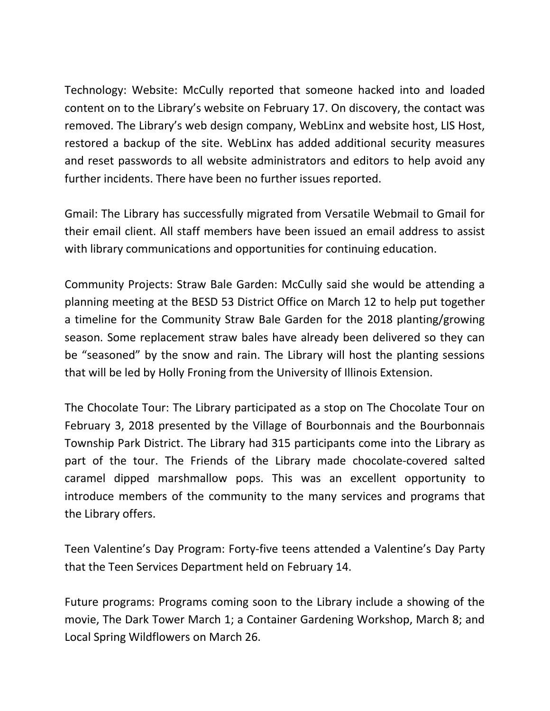Technology: Website: McCully reported that someone hacked into and loaded content on to the Library's website on February 17. On discovery, the contact was removed. The Library's web design company, WebLinx and website host, LIS Host, restored a backup of the site. WebLinx has added additional security measures and reset passwords to all website administrators and editors to help avoid any further incidents. There have been no further issues reported.

Gmail: The Library has successfully migrated from Versatile Webmail to Gmail for their email client. All staff members have been issued an email address to assist with library communications and opportunities for continuing education.

Community Projects: Straw Bale Garden: McCully said she would be attending a planning meeting at the BESD 53 District Office on March 12 to help put together a timeline for the Community Straw Bale Garden for the 2018 planting/growing season. Some replacement straw bales have already been delivered so they can be "seasoned" by the snow and rain. The Library will host the planting sessions that will be led by Holly Froning from the University of Illinois Extension.

The Chocolate Tour: The Library participated as a stop on The Chocolate Tour on February 3, 2018 presented by the Village of Bourbonnais and the Bourbonnais Township Park District. The Library had 315 participants come into the Library as part of the tour. The Friends of the Library made chocolate-covered salted caramel dipped marshmallow pops. This was an excellent opportunity to introduce members of the community to the many services and programs that the Library offers.

Teen Valentine's Day Program: Forty-five teens attended a Valentine's Day Party that the Teen Services Department held on February 14.

Future programs: Programs coming soon to the Library include a showing of the movie, The Dark Tower March 1; a Container Gardening Workshop, March 8; and Local Spring Wildflowers on March 26.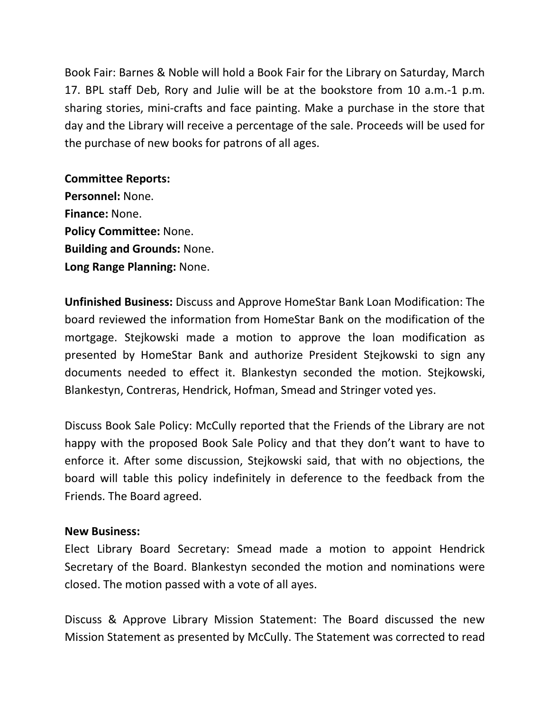Book Fair: Barnes & Noble will hold a Book Fair for the Library on Saturday, March 17. BPL staff Deb, Rory and Julie will be at the bookstore from 10 a.m.-1 p.m. sharing stories, mini-crafts and face painting. Make a purchase in the store that day and the Library will receive a percentage of the sale. Proceeds will be used for the purchase of new books for patrons of all ages.

**Committee Reports: Personnel:** None. **Finance:** None. **Policy Committee:** None. **Building and Grounds:** None. **Long Range Planning:** None.

**Unfinished Business:** Discuss and Approve HomeStar Bank Loan Modification: The board reviewed the information from HomeStar Bank on the modification of the mortgage. Stejkowski made a motion to approve the loan modification as presented by HomeStar Bank and authorize President Stejkowski to sign any documents needed to effect it. Blankestyn seconded the motion. Stejkowski, Blankestyn, Contreras, Hendrick, Hofman, Smead and Stringer voted yes.

Discuss Book Sale Policy: McCully reported that the Friends of the Library are not happy with the proposed Book Sale Policy and that they don't want to have to enforce it. After some discussion, Stejkowski said, that with no objections, the board will table this policy indefinitely in deference to the feedback from the Friends. The Board agreed.

## **New Business:**

Elect Library Board Secretary: Smead made a motion to appoint Hendrick Secretary of the Board. Blankestyn seconded the motion and nominations were closed. The motion passed with a vote of all ayes.

Discuss & Approve Library Mission Statement: The Board discussed the new Mission Statement as presented by McCully. The Statement was corrected to read